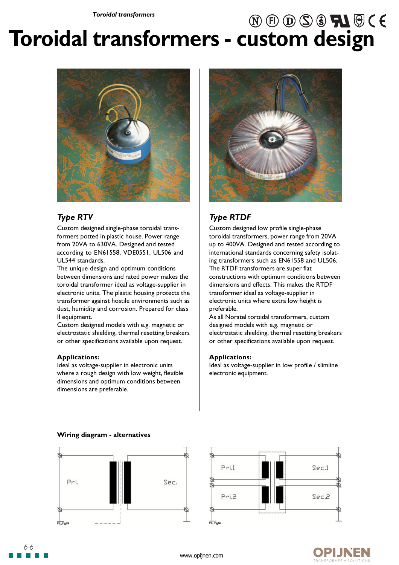# $\textcircled{\tiny{A}} \oplus \textcircled{\tiny{B}} \textcircled{\tiny{B}} \textcircled{\tiny{A}} \oplus \textcircled{\tiny{A}} \oplus \textcircled{\tiny{A}}$ **Toroidal transformers - custom design**



## *Type RTV*

Custom designed single-phase toroidal transformers potted in plastic house. Power range from 20VA to 630VA. Designed and tested according to EN61558, VDE0551, UL506 and UL544 standards.

The unique design and optimum conditions between dimensions and rated power makes the toroidal transformer ideal as voltage-supplier in electronic units. The plastic housing protects the transformer against hostile environments such as dust, humidity and corrosion. Prepared for class II equipment.

Custom designed models with e.g. magnetic or electrostatic shielding, thermal resetting breakers or other specifications available upon request.

#### **Applications:**

Ideal as voltage-supplier in electronic units where a rough design with low weight, flexible dimensions and optimum conditions between dimensions are preferable.

**Wiring diagram - alternatives**



# *Type RTDF*

Custom designed low profile single-phase toroidal transformers, power range from 20VA up to 400VA. Designed and tested according to international standards concerning safety isolating transformers such as EN61558 and UL506. The RTDF transformers are super flat constructions with optimum conditions between dimensions and effects. This makes the RTDF transformer ideal as voltage-supplier in electronic units where extra low height is preferable.

As all Noratel toroidal transformers, custom designed models with e.g. magnetic or electrostatic shielding, thermal resetting breakers or other specifications available upon request.

#### **Applications:**

Ideal as voltage-supplier in low profile / slimline electronic equipment.







*6-6*